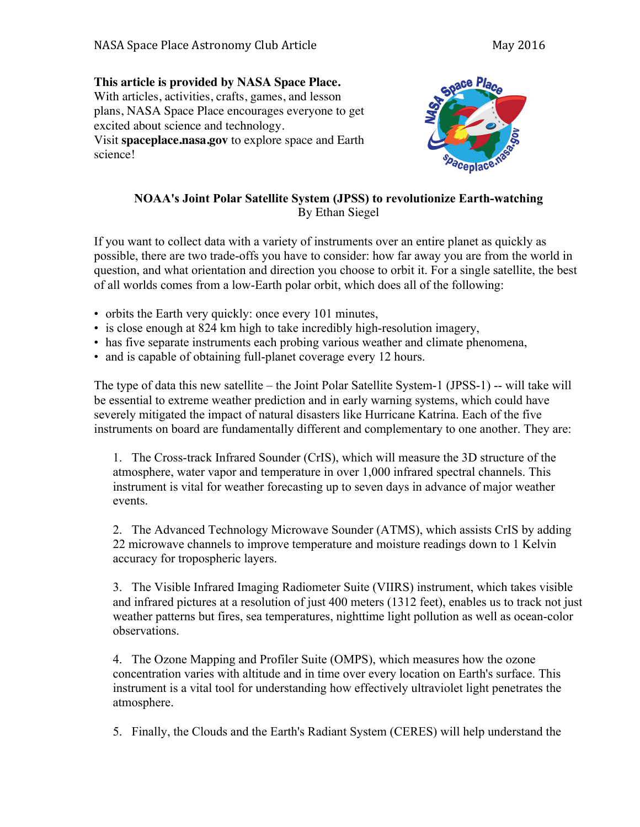## **This article is provided by NASA Space Place.** With articles, activities, crafts, games, and lesson plans, NASA Space Place encourages everyone to get excited about science and technology. Visit **spaceplace.nasa.gov** to explore space and Earth

science!



## **NOAA's Joint Polar Satellite System (JPSS) to revolutionize Earth-watching** By Ethan Siegel

If you want to collect data with a variety of instruments over an entire planet as quickly as possible, there are two trade-offs you have to consider: how far away you are from the world in question, and what orientation and direction you choose to orbit it. For a single satellite, the best of all worlds comes from a low-Earth polar orbit, which does all of the following:

- orbits the Earth very quickly: once every 101 minutes,
- is close enough at 824 km high to take incredibly high-resolution imagery,
- has five separate instruments each probing various weather and climate phenomena,
- and is capable of obtaining full-planet coverage every 12 hours.

The type of data this new satellite – the Joint Polar Satellite System-1 (JPSS-1) -- will take will be essential to extreme weather prediction and in early warning systems, which could have severely mitigated the impact of natural disasters like Hurricane Katrina. Each of the five instruments on board are fundamentally different and complementary to one another. They are:

1. The Cross-track Infrared Sounder (CrIS), which will measure the 3D structure of the atmosphere, water vapor and temperature in over 1,000 infrared spectral channels. This instrument is vital for weather forecasting up to seven days in advance of major weather events.

2. The Advanced Technology Microwave Sounder (ATMS), which assists CrIS by adding 22 microwave channels to improve temperature and moisture readings down to 1 Kelvin accuracy for tropospheric layers.

3. The Visible Infrared Imaging Radiometer Suite (VIIRS) instrument, which takes visible and infrared pictures at a resolution of just 400 meters (1312 feet), enables us to track not just weather patterns but fires, sea temperatures, nighttime light pollution as well as ocean-color observations.

4. The Ozone Mapping and Profiler Suite (OMPS), which measures how the ozone concentration varies with altitude and in time over every location on Earth's surface. This instrument is a vital tool for understanding how effectively ultraviolet light penetrates the atmosphere.

5. Finally, the Clouds and the Earth's Radiant System (CERES) will help understand the